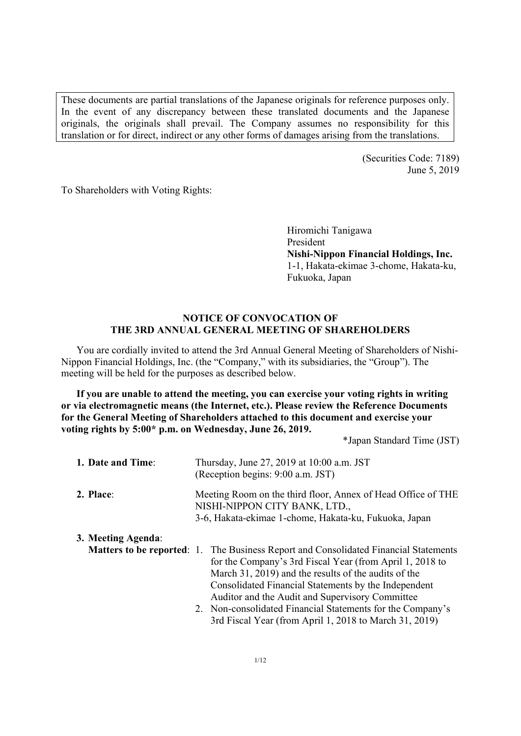These documents are partial translations of the Japanese originals for reference purposes only. In the event of any discrepancy between these translated documents and the Japanese originals, the originals shall prevail. The Company assumes no responsibility for this translation or for direct, indirect or any other forms of damages arising from the translations.

> (Securities Code: 7189) June 5, 2019

To Shareholders with Voting Rights:

Hiromichi Tanigawa President **Nishi-Nippon Financial Holdings, Inc.**  1-1, Hakata-ekimae 3-chome, Hakata-ku, Fukuoka, Japan

## **NOTICE OF CONVOCATION OF THE 3RD ANNUAL GENERAL MEETING OF SHAREHOLDERS**

You are cordially invited to attend the 3rd Annual General Meeting of Shareholders of Nishi-Nippon Financial Holdings, Inc. (the "Company," with its subsidiaries, the "Group"). The meeting will be held for the purposes as described below.

**If you are unable to attend the meeting, you can exercise your voting rights in writing or via electromagnetic means (the Internet, etc.). Please review the Reference Documents for the General Meeting of Shareholders attached to this document and exercise your voting rights by 5:00\* p.m. on Wednesday, June 26, 2019.** 

\*Japan Standard Time (JST)

| 1. Date and Time:  | Thursday, June 27, 2019 at 10:00 a.m. JST<br>(Reception begins: 9:00 a.m. JST)                                                                                                                                                                                                                                                                                                                                                                     |  |  |
|--------------------|----------------------------------------------------------------------------------------------------------------------------------------------------------------------------------------------------------------------------------------------------------------------------------------------------------------------------------------------------------------------------------------------------------------------------------------------------|--|--|
| 2. Place:          | Meeting Room on the third floor, Annex of Head Office of THE<br>NISHI-NIPPON CITY BANK, LTD.,<br>3-6, Hakata-ekimae 1-chome, Hakata-ku, Fukuoka, Japan                                                                                                                                                                                                                                                                                             |  |  |
| 3. Meeting Agenda: | <b>Matters to be reported:</b> 1. The Business Report and Consolidated Financial Statements<br>for the Company's 3rd Fiscal Year (from April 1, 2018 to<br>March 31, 2019) and the results of the audits of the<br>Consolidated Financial Statements by the Independent<br>Auditor and the Audit and Supervisory Committee<br>2. Non-consolidated Financial Statements for the Company's<br>3rd Fiscal Year (from April 1, 2018 to March 31, 2019) |  |  |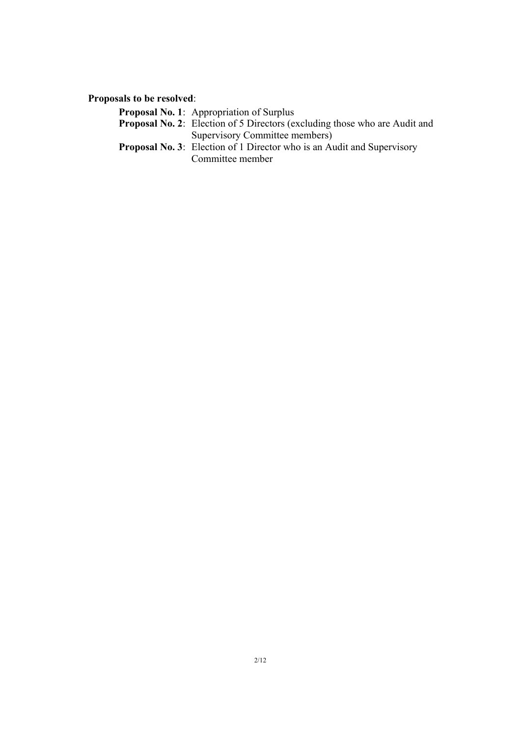**Proposals to be resolved**:

**Proposal No. 1**: Appropriation of Surplus

**Proposal No. 2:** Election of 5 Directors (excluding those who are Audit and Supervisory Committee members)

**Proposal No. 3:** Election of 1 Director who is an Audit and Supervisory Committee member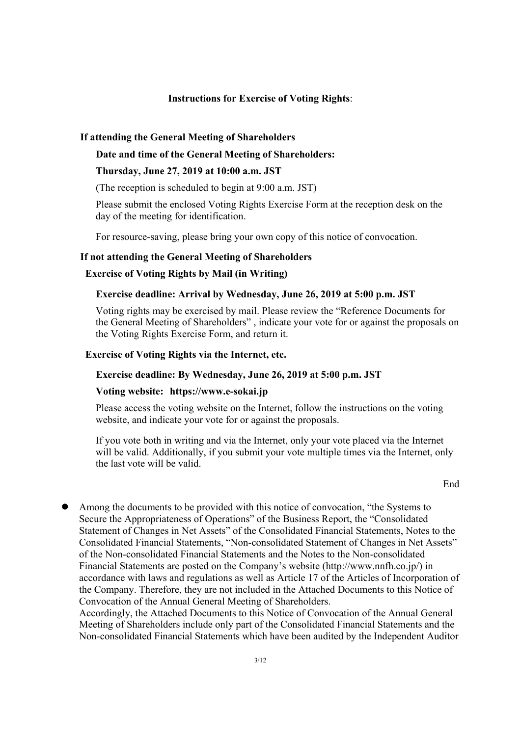#### **Instructions for Exercise of Voting Rights**:

#### **If attending the General Meeting of Shareholders**

#### **Date and time of the General Meeting of Shareholders:**

#### **Thursday, June 27, 2019 at 10:00 a.m. JST**

(The reception is scheduled to begin at 9:00 a.m. JST)

Please submit the enclosed Voting Rights Exercise Form at the reception desk on the day of the meeting for identification.

For resource-saving, please bring your own copy of this notice of convocation.

## **If not attending the General Meeting of Shareholders**

# **Exercise of Voting Rights by Mail (in Writing)**

## **Exercise deadline: Arrival by Wednesday, June 26, 2019 at 5:00 p.m. JST**

Voting rights may be exercised by mail. Please review the "Reference Documents for the General Meeting of Shareholders" , indicate your vote for or against the proposals on the Voting Rights Exercise Form, and return it.

### **Exercise of Voting Rights via the Internet, etc.**

## **Exercise deadline: By Wednesday, June 26, 2019 at 5:00 p.m. JST**

## **Voting website: https://www.e-sokai.jp**

Please access the voting website on the Internet, follow the instructions on the voting website, and indicate your vote for or against the proposals.

If you vote both in writing and via the Internet, only your vote placed via the Internet will be valid. Additionally, if you submit your vote multiple times via the Internet, only the last vote will be valid.

#### **End**

 Among the documents to be provided with this notice of convocation, "the Systems to Secure the Appropriateness of Operations" of the Business Report, the "Consolidated Statement of Changes in Net Assets" of the Consolidated Financial Statements, Notes to the Consolidated Financial Statements, "Non-consolidated Statement of Changes in Net Assets" of the Non-consolidated Financial Statements and the Notes to the Non-consolidated Financial Statements are posted on the Company's website (http://www.nnfh.co.jp/) in accordance with laws and regulations as well as Article 17 of the Articles of Incorporation of the Company. Therefore, they are not included in the Attached Documents to this Notice of Convocation of the Annual General Meeting of Shareholders.

Accordingly, the Attached Documents to this Notice of Convocation of the Annual General Meeting of Shareholders include only part of the Consolidated Financial Statements and the Non-consolidated Financial Statements which have been audited by the Independent Auditor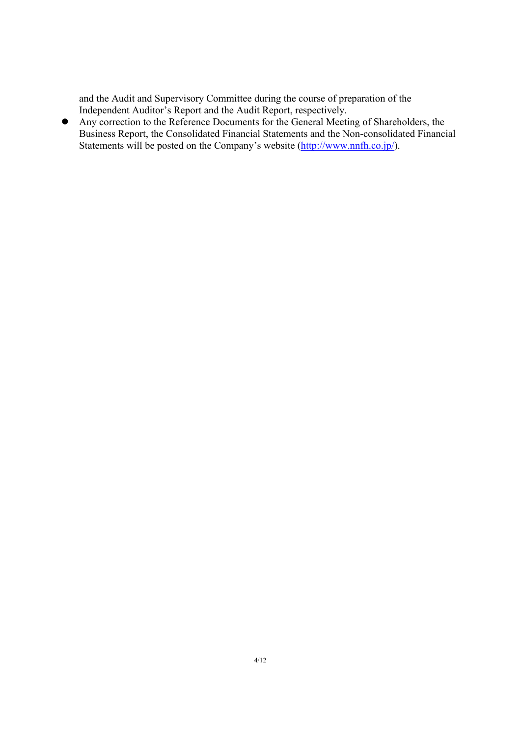and the Audit and Supervisory Committee during the course of preparation of the Independent Auditor's Report and the Audit Report, respectively.

 Any correction to the Reference Documents for the General Meeting of Shareholders, the Business Report, the Consolidated Financial Statements and the Non-consolidated Financial Statements will be posted on the Company's website (http://www.nnfh.co.jp/).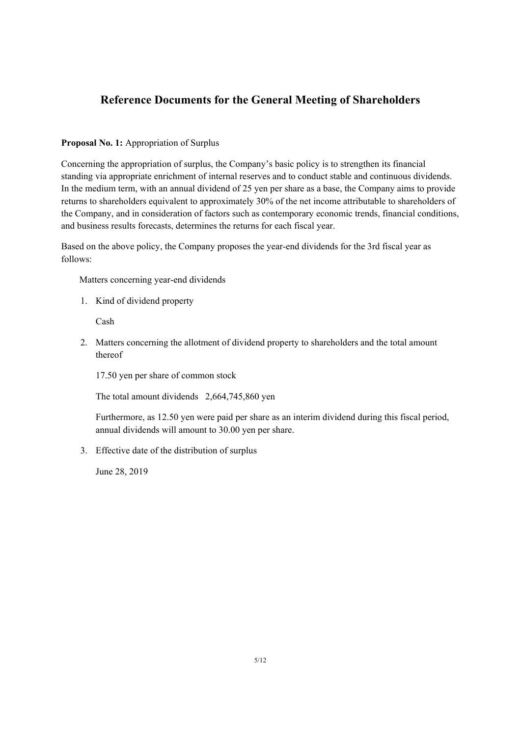# **Reference Documents for the General Meeting of Shareholders**

## **Proposal No. 1:** Appropriation of Surplus

Concerning the appropriation of surplus, the Company's basic policy is to strengthen its financial standing via appropriate enrichment of internal reserves and to conduct stable and continuous dividends. In the medium term, with an annual dividend of 25 yen per share as a base, the Company aims to provide returns to shareholders equivalent to approximately 30% of the net income attributable to shareholders of the Company, and in consideration of factors such as contemporary economic trends, financial conditions, and business results forecasts, determines the returns for each fiscal year.

Based on the above policy, the Company proposes the year-end dividends for the 3rd fiscal year as follows:

Matters concerning year-end dividends

1. Kind of dividend property

Cash

2. Matters concerning the allotment of dividend property to shareholders and the total amount thereof

17.50 yen per share of common stock

The total amount dividends 2,664,745,860 yen

Furthermore, as 12.50 yen were paid per share as an interim dividend during this fiscal period, annual dividends will amount to 30.00 yen per share.

3. Effective date of the distribution of surplus

June 28, 2019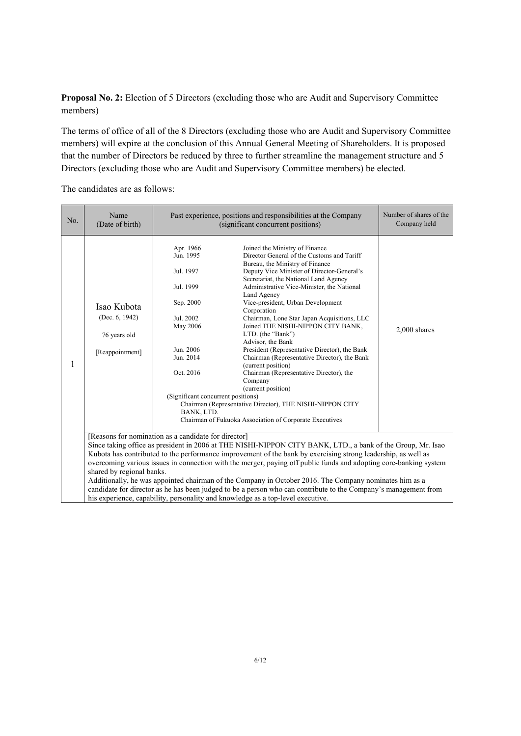**Proposal No. 2:** Election of 5 Directors (excluding those who are Audit and Supervisory Committee members)

The terms of office of all of the 8 Directors (excluding those who are Audit and Supervisory Committee members) will expire at the conclusion of this Annual General Meeting of Shareholders. It is proposed that the number of Directors be reduced by three to further streamline the management structure and 5 Directors (excluding those who are Audit and Supervisory Committee members) be elected.

No. Name<br>(Date of birth) Past experience, positions and responsibilities at the Company (significant concurrent positions) Number of shares of the Company held 1 Isao Kubota (Dec. 6, 1942) 76 years old [Reappointment] Apr. 1966 Joined the Ministry of Finance<br>
Jun. 1995 Director General of the Custom Director General of the Customs and Tariff Bureau, the Ministry of Finance Jul. 1997 Deputy Vice Minister of Director-General's Secretariat, the National Land Agency Jul. 1999 Administrative Vice-Minister, the National Land Agency Sep. 2000 Vice-president, Urban Development Corporation Jul. 2002 Chairman, Lone Star Japan Acquisitions, LLC Joined THE NISHI-NIPPON CITY BANK, LTD. (the "Bank") Advisor, the Bank<br>Jun. 2006 President (Representing President (Representative Director), the Bank Jun. 2014 Chairman (Representative Director), the Bank (current position) Oct. 2016 Chairman (Representative Director), the Company (current position) (Significant concurrent positions) Chairman (Representative Director), THE NISHI-NIPPON CITY BANK, LTD. Chairman of Fukuoka Association of Corporate Executives 2,000 shares [Reasons for nomination as a candidate for director] Since taking office as president in 2006 at THE NISHI-NIPPON CITY BANK, LTD., a bank of the Group, Mr. Isao Kubota has contributed to the performance improvement of the bank by exercising strong leadership, as well as overcoming various issues in connection with the merger, paying off public funds and adopting core-banking system shared by regional banks. Additionally, he was appointed chairman of the Company in October 2016. The Company nominates him as a candidate for director as he has been judged to be a person who can contribute to the Company's management from his experience, capability, personality and knowledge as a top-level executive.

The candidates are as follows: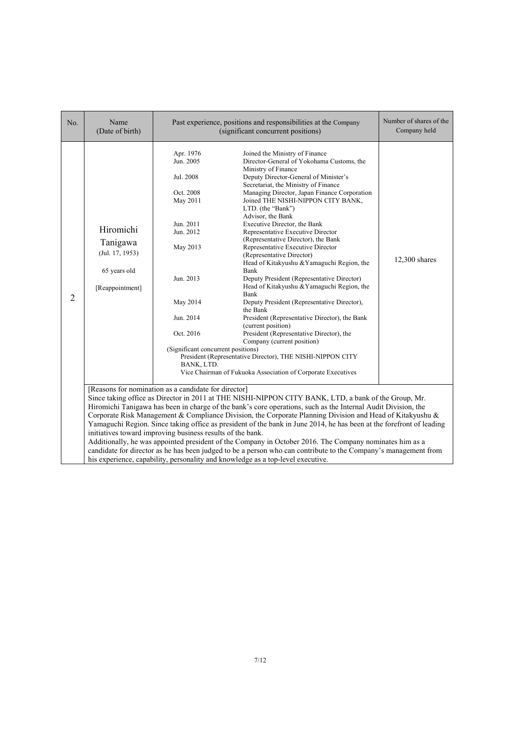| No.            | Name<br>(Date of birth)                                                                                                                                                                                                                                                                                                                                                                                                                                                                                                                                                                                                                                                                                                                                                                                        | Past experience, positions and responsibilities at the Company<br>(significant concurrent positions)                                                                                                      |                                                                                                                                                                                                                                                                                                                                                                                                                                                                                                                                                                                                                                                                                                                                                                                                                                                                                                                                                                                                         | Number of shares of the<br>Company held |
|----------------|----------------------------------------------------------------------------------------------------------------------------------------------------------------------------------------------------------------------------------------------------------------------------------------------------------------------------------------------------------------------------------------------------------------------------------------------------------------------------------------------------------------------------------------------------------------------------------------------------------------------------------------------------------------------------------------------------------------------------------------------------------------------------------------------------------------|-----------------------------------------------------------------------------------------------------------------------------------------------------------------------------------------------------------|---------------------------------------------------------------------------------------------------------------------------------------------------------------------------------------------------------------------------------------------------------------------------------------------------------------------------------------------------------------------------------------------------------------------------------------------------------------------------------------------------------------------------------------------------------------------------------------------------------------------------------------------------------------------------------------------------------------------------------------------------------------------------------------------------------------------------------------------------------------------------------------------------------------------------------------------------------------------------------------------------------|-----------------------------------------|
| $\overline{2}$ | Hiromichi<br>Tanigawa<br>(Jul. 17, 1953)<br>65 years old<br>[Reappointment]                                                                                                                                                                                                                                                                                                                                                                                                                                                                                                                                                                                                                                                                                                                                    | Apr. 1976<br>Jun. 2005<br>Jul. 2008<br>Oct. 2008<br>May 2011<br>Jun. 2011<br>Jun. 2012<br>May 2013<br>Jun. 2013<br>May 2014<br>Jun. 2014<br>Oct. 2016<br>(Significant concurrent positions)<br>BANK, LTD. | Joined the Ministry of Finance<br>Director-General of Yokohama Customs, the<br>Ministry of Finance<br>Deputy Director-General of Minister's<br>Secretariat, the Ministry of Finance<br>Managing Director, Japan Finance Corporation<br>Joined THE NISHI-NIPPON CITY BANK,<br>$LTD.$ (the "Bank")<br>Advisor, the Bank<br>Executive Director, the Bank<br>Representative Executive Director<br>(Representative Director), the Bank<br>Representative Executive Director<br>(Representative Director)<br>Head of Kitakyushu & Yamaguchi Region, the<br>Bank<br>Deputy President (Representative Director)<br>Head of Kitakyushu & Yamaguchi Region, the<br>Bank<br>Deputy President (Representative Director),<br>the Bank<br>President (Representative Director), the Bank<br>(current position)<br>President (Representative Director), the<br>Company (current position)<br>President (Representative Director), THE NISHI-NIPPON CITY<br>Vice Chairman of Fukuoka Association of Corporate Executives | 12,300 shares                           |
|                | [Reasons for nomination as a candidate for director]<br>Since taking office as Director in 2011 at THE NISHI-NIPPON CITY BANK, LTD, a bank of the Group, Mr.<br>Hiromichi Tanigawa has been in charge of the bank's core operations, such as the Internal Audit Division, the<br>Corporate Risk Management & Compliance Division, the Corporate Planning Division and Head of Kitakyushu &<br>Yamaguchi Region. Since taking office as president of the bank in June 2014, he has been at the forefront of leading<br>initiatives toward improving business results of the bank.<br>Additionally, he was appointed president of the Company in October 2016. The Company nominates him as a<br>candidate for director as he has been judged to be a person who can contribute to the Company's management from |                                                                                                                                                                                                           |                                                                                                                                                                                                                                                                                                                                                                                                                                                                                                                                                                                                                                                                                                                                                                                                                                                                                                                                                                                                         |                                         |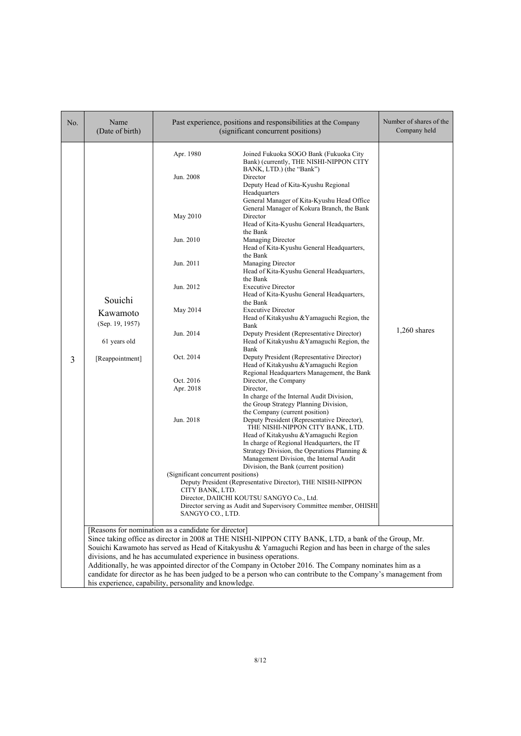| No.                                                                                                                                                                                                                                                                                                                                                                                                                                                                                                                                                                                                                                     | Name<br>(Date of birth)                                                   | Past experience, positions and responsibilities at the Company<br>(significant concurrent positions)                                                                                                                                |                                                                                                                                                                                                                                                                                                                                                                                                                                                                                                                                                                                                                                                                                                                                                                                                                                                                                                                                                                                                                                                                                                                                                                                                                                                                                                                                                                                                                                                                                                                                                                                                | Number of shares of the<br>Company held |
|-----------------------------------------------------------------------------------------------------------------------------------------------------------------------------------------------------------------------------------------------------------------------------------------------------------------------------------------------------------------------------------------------------------------------------------------------------------------------------------------------------------------------------------------------------------------------------------------------------------------------------------------|---------------------------------------------------------------------------|-------------------------------------------------------------------------------------------------------------------------------------------------------------------------------------------------------------------------------------|------------------------------------------------------------------------------------------------------------------------------------------------------------------------------------------------------------------------------------------------------------------------------------------------------------------------------------------------------------------------------------------------------------------------------------------------------------------------------------------------------------------------------------------------------------------------------------------------------------------------------------------------------------------------------------------------------------------------------------------------------------------------------------------------------------------------------------------------------------------------------------------------------------------------------------------------------------------------------------------------------------------------------------------------------------------------------------------------------------------------------------------------------------------------------------------------------------------------------------------------------------------------------------------------------------------------------------------------------------------------------------------------------------------------------------------------------------------------------------------------------------------------------------------------------------------------------------------------|-----------------------------------------|
| 3                                                                                                                                                                                                                                                                                                                                                                                                                                                                                                                                                                                                                                       | Souichi<br>Kawamoto<br>(Sep. 19, 1957)<br>61 years old<br>[Reappointment] | Apr. 1980<br>Jun. 2008<br>May 2010<br>Jun. 2010<br>Jun. 2011<br>Jun. 2012<br>May 2014<br>Jun. 2014<br>Oct. 2014<br>Oct. 2016<br>Apr. 2018<br>Jun. 2018<br>(Significant concurrent positions)<br>CITY BANK, LTD.<br>SANGYO CO., LTD. | Joined Fukuoka SOGO Bank (Fukuoka City<br>Bank) (currently, THE NISHI-NIPPON CITY<br>BANK, LTD.) (the "Bank")<br>Director<br>Deputy Head of Kita-Kyushu Regional<br>Headquarters<br>General Manager of Kita-Kyushu Head Office<br>General Manager of Kokura Branch, the Bank<br>Director<br>Head of Kita-Kyushu General Headquarters,<br>the Bank<br>Managing Director<br>Head of Kita-Kyushu General Headquarters,<br>the Bank<br>Managing Director<br>Head of Kita-Kyushu General Headquarters,<br>the Bank<br><b>Executive Director</b><br>Head of Kita-Kyushu General Headquarters,<br>the Bank<br><b>Executive Director</b><br>Head of Kitakyushu & Yamaguchi Region, the<br>Bank<br>Deputy President (Representative Director)<br>Head of Kitakyushu & Yamaguchi Region, the<br>Bank<br>Deputy President (Representative Director)<br>Head of Kitakyushu & Yamaguchi Region<br>Regional Headquarters Management, the Bank<br>Director, the Company<br>Director,<br>In charge of the Internal Audit Division,<br>the Group Strategy Planning Division,<br>the Company (current position)<br>Deputy President (Representative Director),<br>THE NISHI-NIPPON CITY BANK, LTD.<br>Head of Kitakyushu & Yamaguchi Region<br>In charge of Regional Headquarters, the IT<br>Strategy Division, the Operations Planning &<br>Management Division, the Internal Audit<br>Division, the Bank (current position)<br>Deputy President (Representative Director), THE NISHI-NIPPON<br>Director, DAIICHI KOUTSU SANGYO Co., Ltd.<br>Director serving as Audit and Supervisory Committee member, OHISHI | $1,260$ shares                          |
| [Reasons for nomination as a candidate for director]<br>Since taking office as director in 2008 at THE NISHI-NIPPON CITY BANK, LTD, a bank of the Group, Mr.<br>Souichi Kawamoto has served as Head of Kitakyushu & Yamaguchi Region and has been in charge of the sales<br>divisions, and he has accumulated experience in business operations.<br>Additionally, he was appointed director of the Company in October 2016. The Company nominates him as a<br>candidate for director as he has been judged to be a person who can contribute to the Company's management from<br>his experience, capability, personality and knowledge. |                                                                           |                                                                                                                                                                                                                                     |                                                                                                                                                                                                                                                                                                                                                                                                                                                                                                                                                                                                                                                                                                                                                                                                                                                                                                                                                                                                                                                                                                                                                                                                                                                                                                                                                                                                                                                                                                                                                                                                |                                         |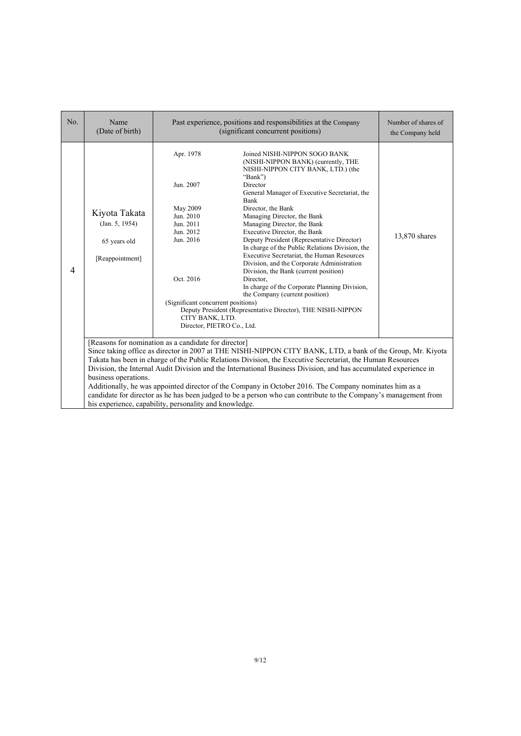| No. | Name<br>(Date of birth)                                                                                                                                                                                                                                                                                                                                                                                                                                                                                                                                                                                                                                                                                              | Past experience, positions and responsibilities at the Company<br>(significant concurrent positions)                                                                                       |                                                                                                                                                                                                                                                                                                                                                                                                                                                                                                                                                                                                                                                                                                                      | Number of shares of<br>the Company held |
|-----|----------------------------------------------------------------------------------------------------------------------------------------------------------------------------------------------------------------------------------------------------------------------------------------------------------------------------------------------------------------------------------------------------------------------------------------------------------------------------------------------------------------------------------------------------------------------------------------------------------------------------------------------------------------------------------------------------------------------|--------------------------------------------------------------------------------------------------------------------------------------------------------------------------------------------|----------------------------------------------------------------------------------------------------------------------------------------------------------------------------------------------------------------------------------------------------------------------------------------------------------------------------------------------------------------------------------------------------------------------------------------------------------------------------------------------------------------------------------------------------------------------------------------------------------------------------------------------------------------------------------------------------------------------|-----------------------------------------|
| 4   | Kiyota Takata<br>(Jan. 5, 1954)<br>65 years old<br>[Reappointment]                                                                                                                                                                                                                                                                                                                                                                                                                                                                                                                                                                                                                                                   | Apr. 1978<br>Jun. 2007<br>May 2009<br>Jun. 2010<br>Jun. 2011<br>Jun. 2012<br>Jun. 2016<br>Oct. 2016<br>(Significant concurrent positions)<br>CITY BANK, LTD.<br>Director, PIETRO Co., Ltd. | Joined NISHI-NIPPON SOGO BANK<br>(NISHI-NIPPON BANK) (currently, THE<br>NISHI-NIPPON CITY BANK, LTD.) (the<br>"Bank")<br>Director<br>General Manager of Executive Secretariat, the<br>Bank<br>Director, the Bank<br>Managing Director, the Bank<br>Managing Director, the Bank<br>Executive Director, the Bank<br>Deputy President (Representative Director)<br>In charge of the Public Relations Division, the<br>Executive Secretariat, the Human Resources<br>Division, and the Corporate Administration<br>Division, the Bank (current position)<br>Director,<br>In charge of the Corporate Planning Division,<br>the Company (current position)<br>Deputy President (Representative Director), THE NISHI-NIPPON | 13,870 shares                           |
|     | [Reasons for nomination as a candidate for director]<br>Since taking office as director in 2007 at THE NISHI-NIPPON CITY BANK, LTD, a bank of the Group, Mr. Kiyota<br>Takata has been in charge of the Public Relations Division, the Executive Secretariat, the Human Resources<br>Division, the Internal Audit Division and the International Business Division, and has accumulated experience in<br>business operations.<br>Additionally, he was appointed director of the Company in October 2016. The Company nominates him as a<br>candidate for director as he has been judged to be a person who can contribute to the Company's management from<br>his experience, capability, personality and knowledge. |                                                                                                                                                                                            |                                                                                                                                                                                                                                                                                                                                                                                                                                                                                                                                                                                                                                                                                                                      |                                         |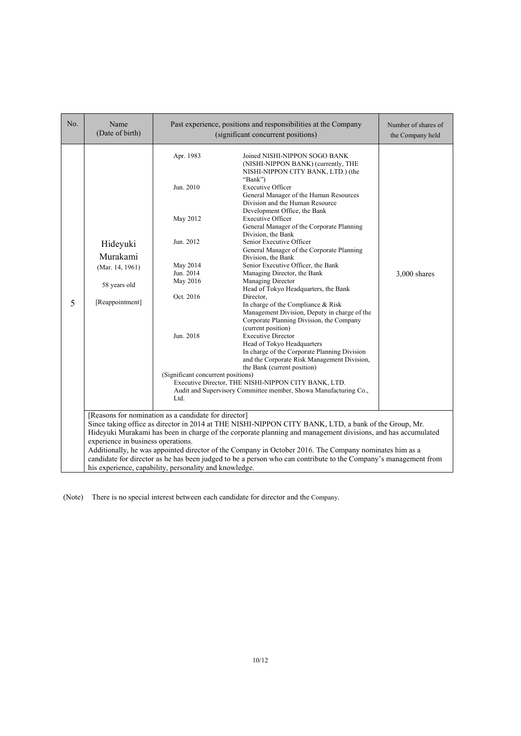| No. | Name<br>(Date of birth)                                                                                                                                                                                                                                                                                                                                                                                                                                                                                                                                                                                   | Past experience, positions and responsibilities at the Company<br>(significant concurrent positions)                                                         |                                                                                                                                                                                                                                                                                                                                                                                                                                                                                                                                                                                                                                                                                                                                                                                                                                                                                                                                                                                                                                                                                          | Number of shares of<br>the Company held |
|-----|-----------------------------------------------------------------------------------------------------------------------------------------------------------------------------------------------------------------------------------------------------------------------------------------------------------------------------------------------------------------------------------------------------------------------------------------------------------------------------------------------------------------------------------------------------------------------------------------------------------|--------------------------------------------------------------------------------------------------------------------------------------------------------------|------------------------------------------------------------------------------------------------------------------------------------------------------------------------------------------------------------------------------------------------------------------------------------------------------------------------------------------------------------------------------------------------------------------------------------------------------------------------------------------------------------------------------------------------------------------------------------------------------------------------------------------------------------------------------------------------------------------------------------------------------------------------------------------------------------------------------------------------------------------------------------------------------------------------------------------------------------------------------------------------------------------------------------------------------------------------------------------|-----------------------------------------|
| 5   | Hideyuki<br>Murakami<br>(Mar. 14, 1961)<br>58 years old<br>[Reappointment]                                                                                                                                                                                                                                                                                                                                                                                                                                                                                                                                | Apr. 1983<br>Jun. 2010<br>May 2012<br>Jun. 2012<br>May 2014<br>Jun. 2014<br>May 2016<br>Oct. 2016<br>Jun. 2018<br>(Significant concurrent positions)<br>Ltd. | Joined NISHI-NIPPON SOGO BANK<br>(NISHI-NIPPON BANK) (currently, THE<br>NISHI-NIPPON CITY BANK, LTD.) (the<br>"Bank")<br><b>Executive Officer</b><br>General Manager of the Human Resources<br>Division and the Human Resource<br>Development Office, the Bank<br><b>Executive Officer</b><br>General Manager of the Corporate Planning<br>Division, the Bank<br>Senior Executive Officer<br>General Manager of the Corporate Planning<br>Division, the Bank<br>Senior Executive Officer, the Bank<br>Managing Director, the Bank<br>Managing Director<br>Head of Tokyo Headquarters, the Bank<br>Director.<br>In charge of the Compliance & Risk<br>Management Division, Deputy in charge of the<br>Corporate Planning Division, the Company<br>(current position)<br><b>Executive Director</b><br>Head of Tokyo Headquarters<br>In charge of the Corporate Planning Division<br>and the Corporate Risk Management Division,<br>the Bank (current position)<br>Executive Director, THE NISHI-NIPPON CITY BANK, LTD.<br>Audit and Supervisory Committee member, Showa Manufacturing Co., | 3,000 shares                            |
|     | [Reasons for nomination as a candidate for director]<br>Since taking office as director in 2014 at THE NISHI-NIPPON CITY BANK, LTD, a bank of the Group, Mr.<br>Hideyuki Murakami has been in charge of the corporate planning and management divisions, and has accumulated<br>experience in business operations.<br>Additionally, he was appointed director of the Company in October 2016. The Company nominates him as a<br>candidate for director as he has been judged to be a person who can contribute to the Company's management from<br>his experience, capability, personality and knowledge. |                                                                                                                                                              |                                                                                                                                                                                                                                                                                                                                                                                                                                                                                                                                                                                                                                                                                                                                                                                                                                                                                                                                                                                                                                                                                          |                                         |

(Note) There is no special interest between each candidate for director and the Company.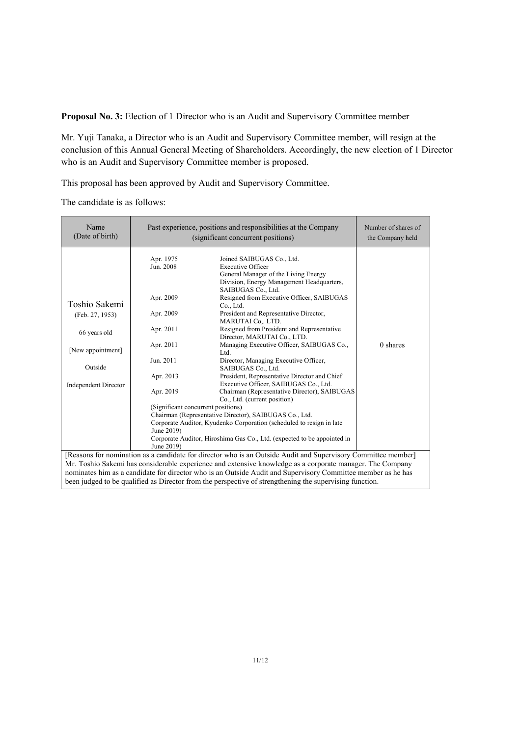**Proposal No. 3:** Election of 1 Director who is an Audit and Supervisory Committee member

Mr. Yuji Tanaka, a Director who is an Audit and Supervisory Committee member, will resign at the conclusion of this Annual General Meeting of Shareholders. Accordingly, the new election of 1 Director who is an Audit and Supervisory Committee member is proposed.

This proposal has been approved by Audit and Supervisory Committee.

The candidate is as follows:

| Name<br>(Date of birth)                                                                                       | Past experience, positions and responsibilities at the Company<br>(significant concurrent positions) |                                                                              | Number of shares of<br>the Company held |
|---------------------------------------------------------------------------------------------------------------|------------------------------------------------------------------------------------------------------|------------------------------------------------------------------------------|-----------------------------------------|
|                                                                                                               | Apr. 1975                                                                                            | Joined SAIBUGAS Co., Ltd.                                                    |                                         |
|                                                                                                               | Jun. 2008                                                                                            | <b>Executive Officer</b>                                                     |                                         |
|                                                                                                               |                                                                                                      | General Manager of the Living Energy                                         |                                         |
|                                                                                                               |                                                                                                      | Division, Energy Management Headquarters,                                    |                                         |
|                                                                                                               |                                                                                                      | SAIBUGAS Co., Ltd.                                                           |                                         |
|                                                                                                               | Apr. 2009                                                                                            | Resigned from Executive Officer, SAIBUGAS                                    |                                         |
| Toshio Sakemi                                                                                                 |                                                                                                      | Co., Ltd.                                                                    |                                         |
| (Feb. 27, 1953)                                                                                               | Apr. 2009                                                                                            | President and Representative Director,                                       |                                         |
|                                                                                                               | Apr. 2011                                                                                            | MARUTAI Co,. LTD.<br>Resigned from President and Representative              |                                         |
| 66 years old                                                                                                  |                                                                                                      | Director, MARUTAI Co., LTD.                                                  |                                         |
|                                                                                                               | Apr. 2011                                                                                            | Managing Executive Officer, SAIBUGAS Co.,                                    | $0$ shares                              |
| [New appointment]                                                                                             |                                                                                                      | Ltd.                                                                         |                                         |
|                                                                                                               | Jun. 2011                                                                                            | Director, Managing Executive Officer,                                        |                                         |
| Outside                                                                                                       |                                                                                                      | SAIBUGAS Co., Ltd.                                                           |                                         |
|                                                                                                               | Apr. 2013                                                                                            | President, Representative Director and Chief                                 |                                         |
| <b>Independent Director</b>                                                                                   |                                                                                                      | Executive Officer, SAIBUGAS Co., Ltd.                                        |                                         |
|                                                                                                               | Apr. 2019                                                                                            | Chairman (Representative Director), SAIBUGAS<br>Co., Ltd. (current position) |                                         |
|                                                                                                               | (Significant concurrent positions)                                                                   |                                                                              |                                         |
|                                                                                                               |                                                                                                      | Chairman (Representative Director), SAIBUGAS Co., Ltd.                       |                                         |
|                                                                                                               |                                                                                                      | Corporate Auditor, Kyudenko Corporation (scheduled to resign in late         |                                         |
|                                                                                                               | June 2019)                                                                                           |                                                                              |                                         |
|                                                                                                               |                                                                                                      | Corporate Auditor, Hiroshima Gas Co., Ltd. (expected to be appointed in      |                                         |
| June 2019)                                                                                                    |                                                                                                      |                                                                              |                                         |
| [Reasons for nomination as a candidate for director who is an Outside Audit and Supervisory Committee member] |                                                                                                      |                                                                              |                                         |
| Mr. Toshio Sakemi has considerable experience and extensive knowledge as a corporate manager. The Company     |                                                                                                      |                                                                              |                                         |
| nominates him as a candidate for director who is an Outside Audit and Supervisory Committee member as he has  |                                                                                                      |                                                                              |                                         |
| been judged to be qualified as Director from the perspective of strengthening the supervising function.       |                                                                                                      |                                                                              |                                         |